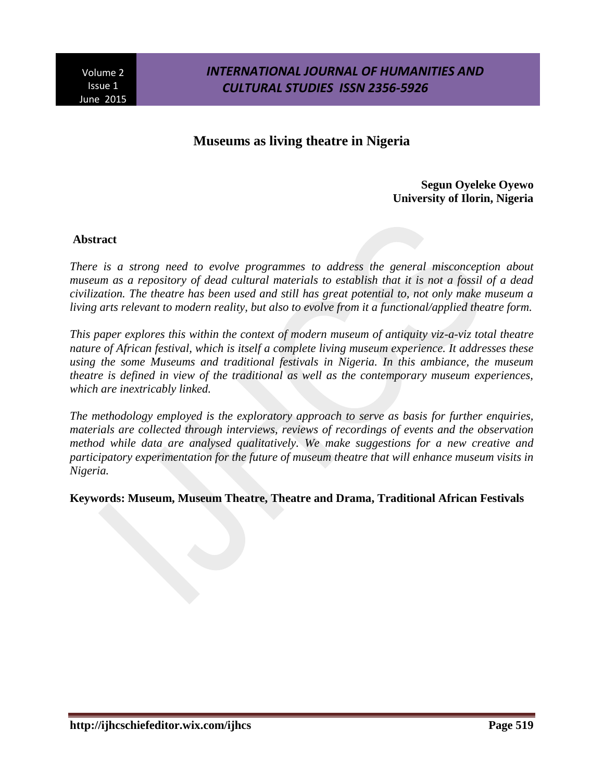## **Museums as living theatre in Nigeria**

**Segun Oyeleke Oyewo University of Ilorin, Nigeria**

#### **Abstract**

*There is a strong need to evolve programmes to address the general misconception about museum as a repository of dead cultural materials to establish that it is not a fossil of a dead civilization. The theatre has been used and still has great potential to, not only make museum a living arts relevant to modern reality, but also to evolve from it a functional/applied theatre form.*

*This paper explores this within the context of modern museum of antiquity viz-a-viz total theatre nature of African festival, which is itself a complete living museum experience. It addresses these using the some Museums and traditional festivals in Nigeria. In this ambiance, the museum theatre is defined in view of the traditional as well as the contemporary museum experiences, which are inextricably linked.*

*The methodology employed is the exploratory approach to serve as basis for further enquiries, materials are collected through interviews, reviews of recordings of events and the observation method while data are analysed qualitatively. We make suggestions for a new creative and participatory experimentation for the future of museum theatre that will enhance museum visits in Nigeria.*

**Keywords: Museum, Museum Theatre, Theatre and Drama, Traditional African Festivals**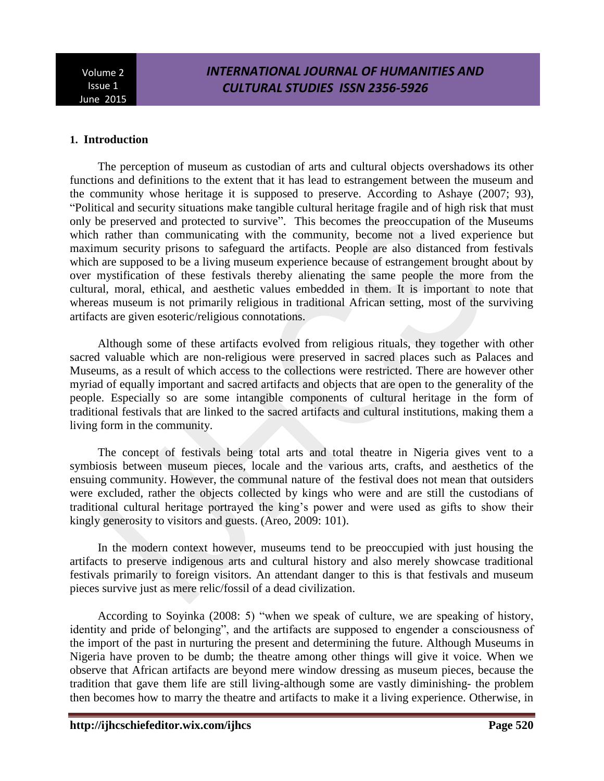# *INTERNATIONAL JOURNAL OF HUMANITIES AND CULTURAL STUDIES ISSN 2356-5926*

#### **1. Introduction**

The perception of museum as custodian of arts and cultural objects overshadows its other functions and definitions to the extent that it has lead to estrangement between the museum and the community whose heritage it is supposed to preserve. According to Ashaye (2007; 93), "Political and security situations make tangible cultural heritage fragile and of high risk that must only be preserved and protected to survive". This becomes the preoccupation of the Museums which rather than communicating with the community, become not a lived experience but maximum security prisons to safeguard the artifacts. People are also distanced from festivals which are supposed to be a living museum experience because of estrangement brought about by over mystification of these festivals thereby alienating the same people the more from the cultural, moral, ethical, and aesthetic values embedded in them. It is important to note that whereas museum is not primarily religious in traditional African setting, most of the surviving artifacts are given esoteric/religious connotations.

Although some of these artifacts evolved from religious rituals, they together with other sacred valuable which are non-religious were preserved in sacred places such as Palaces and Museums, as a result of which access to the collections were restricted. There are however other myriad of equally important and sacred artifacts and objects that are open to the generality of the people. Especially so are some intangible components of cultural heritage in the form of traditional festivals that are linked to the sacred artifacts and cultural institutions, making them a living form in the community.

The concept of festivals being total arts and total theatre in Nigeria gives vent to a symbiosis between museum pieces, locale and the various arts, crafts, and aesthetics of the ensuing community. However, the communal nature of the festival does not mean that outsiders were excluded, rather the objects collected by kings who were and are still the custodians of traditional cultural heritage portrayed the king's power and were used as gifts to show their kingly generosity to visitors and guests. (Areo, 2009: 101).

In the modern context however, museums tend to be preoccupied with just housing the artifacts to preserve indigenous arts and cultural history and also merely showcase traditional festivals primarily to foreign visitors. An attendant danger to this is that festivals and museum pieces survive just as mere relic/fossil of a dead civilization.

According to Soyinka (2008: 5) "when we speak of culture, we are speaking of history, identity and pride of belonging", and the artifacts are supposed to engender a consciousness of the import of the past in nurturing the present and determining the future. Although Museums in Nigeria have proven to be dumb; the theatre among other things will give it voice. When we observe that African artifacts are beyond mere window dressing as museum pieces, because the tradition that gave them life are still living-although some are vastly diminishing- the problem then becomes how to marry the theatre and artifacts to make it a living experience. Otherwise, in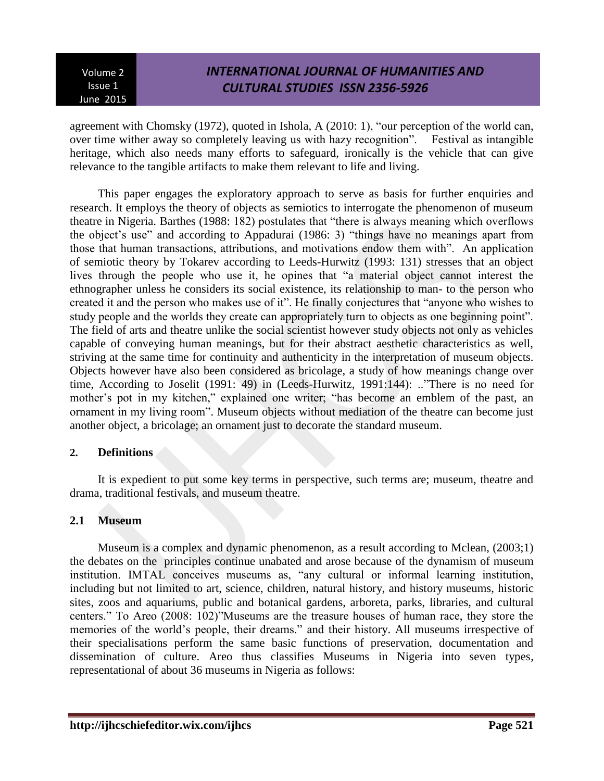# *INTERNATIONAL JOURNAL OF HUMANITIES AND CULTURAL STUDIES ISSN 2356-5926*

agreement with Chomsky (1972), quoted in Ishola, A (2010: 1), "our perception of the world can, over time wither away so completely leaving us with hazy recognition". Festival as intangible heritage, which also needs many efforts to safeguard, ironically is the vehicle that can give relevance to the tangible artifacts to make them relevant to life and living.

This paper engages the exploratory approach to serve as basis for further enquiries and research. It employs the theory of objects as semiotics to interrogate the phenomenon of museum theatre in Nigeria. Barthes (1988: 182) postulates that "there is always meaning which overflows the object's use" and according to Appadurai (1986: 3) "things have no meanings apart from those that human transactions, attributions, and motivations endow them with". An application of semiotic theory by Tokarev according to Leeds-Hurwitz (1993: 131) stresses that an object lives through the people who use it, he opines that "a material object cannot interest the ethnographer unless he considers its social existence, its relationship to man- to the person who created it and the person who makes use of it". He finally conjectures that "anyone who wishes to study people and the worlds they create can appropriately turn to objects as one beginning point". The field of arts and theatre unlike the social scientist however study objects not only as vehicles capable of conveying human meanings, but for their abstract aesthetic characteristics as well, striving at the same time for continuity and authenticity in the interpretation of museum objects. Objects however have also been considered as bricolage, a study of how meanings change over time, According to Joselit (1991: 49) in (Leeds-Hurwitz, 1991:144): .."There is no need for mother's pot in my kitchen," explained one writer; "has become an emblem of the past, an ornament in my living room". Museum objects without mediation of the theatre can become just another object, a bricolage; an ornament just to decorate the standard museum.

## **2. Definitions**

It is expedient to put some key terms in perspective, such terms are; museum, theatre and drama, traditional festivals, and museum theatre.

## **2.1 Museum**

Museum is a complex and dynamic phenomenon, as a result according to Mclean, (2003;1) the debates on the principles continue unabated and arose because of the dynamism of museum institution. IMTAL conceives museums as, "any cultural or informal learning institution, including but not limited to art, science, children, natural history, and history museums, historic sites, zoos and aquariums, public and botanical gardens, arboreta, parks, libraries, and cultural centers." To Areo (2008: 102)"Museums are the treasure houses of human race, they store the memories of the world's people, their dreams." and their history. All museums irrespective of their specialisations perform the same basic functions of preservation, documentation and dissemination of culture. Areo thus classifies Museums in Nigeria into seven types, representational of about 36 museums in Nigeria as follows: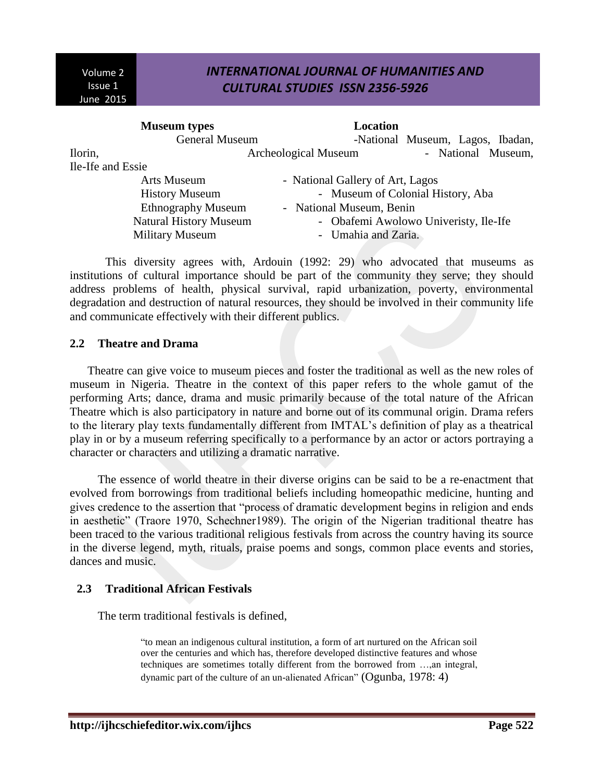## *INTERNATIONAL JOURNAL OF HUMANITIES AND CULTURAL STUDIES ISSN 2356-5926*

| <b>Museum</b> types |                               | Location                              |                                  |  |  |  |  |
|---------------------|-------------------------------|---------------------------------------|----------------------------------|--|--|--|--|
|                     | <b>General Museum</b>         |                                       | -National Museum, Lagos, Ibadan, |  |  |  |  |
| Ilorin,             |                               | <b>Archeological Museum</b>           | - National Museum,               |  |  |  |  |
| Ile-Ife and Essie   |                               |                                       |                                  |  |  |  |  |
|                     | Arts Museum                   | - National Gallery of Art, Lagos      |                                  |  |  |  |  |
|                     | <b>History Museum</b>         | - Museum of Colonial History, Aba     |                                  |  |  |  |  |
|                     | <b>Ethnography Museum</b>     | - National Museum, Benin              |                                  |  |  |  |  |
|                     | <b>Natural History Museum</b> | - Obafemi Awolowo Univeristy, Ile-Ife |                                  |  |  |  |  |
|                     | <b>Military Museum</b>        | - Umahia and Zaria.                   |                                  |  |  |  |  |

This diversity agrees with, Ardouin (1992: 29) who advocated that museums as institutions of cultural importance should be part of the community they serve; they should address problems of health, physical survival, rapid urbanization, poverty, environmental degradation and destruction of natural resources, they should be involved in their community life and communicate effectively with their different publics.

#### **2.2 Theatre and Drama**

Theatre can give voice to museum pieces and foster the traditional as well as the new roles of museum in Nigeria. Theatre in the context of this paper refers to the whole gamut of the performing Arts; dance, drama and music primarily because of the total nature of the African Theatre which is also participatory in nature and borne out of its communal origin. Drama refers to the literary play texts fundamentally different from IMTAL's definition of play as a theatrical play in or by a museum referring specifically to a performance by an actor or actors portraying a character or characters and utilizing a dramatic narrative.

The essence of world theatre in their diverse origins can be said to be a re-enactment that evolved from borrowings from traditional beliefs including homeopathic medicine, hunting and gives credence to the assertion that "process of dramatic development begins in religion and ends in aesthetic" (Traore 1970, Schechner1989). The origin of the Nigerian traditional theatre has been traced to the various traditional religious festivals from across the country having its source in the diverse legend, myth, rituals, praise poems and songs, common place events and stories, dances and music.

## **2.3 Traditional African Festivals**

The term traditional festivals is defined,

"to mean an indigenous cultural institution, a form of art nurtured on the African soil over the centuries and which has, therefore developed distinctive features and whose techniques are sometimes totally different from the borrowed from …,an integral, dynamic part of the culture of an un-alienated African" (Ogunba, 1978: 4)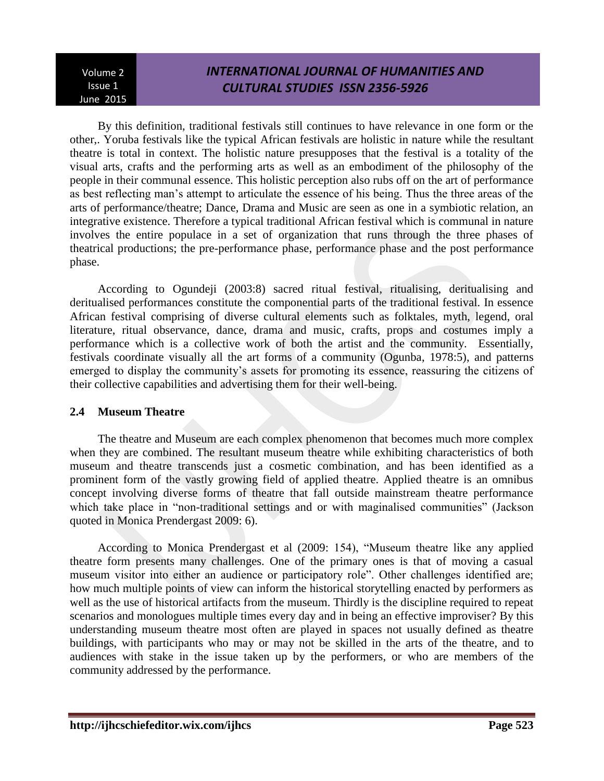# *INTERNATIONAL JOURNAL OF HUMANITIES AND CULTURAL STUDIES ISSN 2356-5926*

By this definition, traditional festivals still continues to have relevance in one form or the other,. Yoruba festivals like the typical African festivals are holistic in nature while the resultant theatre is total in context. The holistic nature presupposes that the festival is a totality of the visual arts, crafts and the performing arts as well as an embodiment of the philosophy of the people in their communal essence. This holistic perception also rubs off on the art of performance as best reflecting man's attempt to articulate the essence of his being. Thus the three areas of the arts of performance/theatre; Dance, Drama and Music are seen as one in a symbiotic relation, an integrative existence. Therefore a typical traditional African festival which is communal in nature involves the entire populace in a set of organization that runs through the three phases of theatrical productions; the pre-performance phase, performance phase and the post performance phase.

According to Ogundeji (2003:8) sacred ritual festival, ritualising, deritualising and deritualised performances constitute the componential parts of the traditional festival. In essence African festival comprising of diverse cultural elements such as folktales, myth, legend, oral literature, ritual observance, dance, drama and music, crafts, props and costumes imply a performance which is a collective work of both the artist and the community. Essentially, festivals coordinate visually all the art forms of a community (Ogunba, 1978:5), and patterns emerged to display the community's assets for promoting its essence, reassuring the citizens of their collective capabilities and advertising them for their well-being.

## **2.4 Museum Theatre**

The theatre and Museum are each complex phenomenon that becomes much more complex when they are combined. The resultant museum theatre while exhibiting characteristics of both museum and theatre transcends just a cosmetic combination, and has been identified as a prominent form of the vastly growing field of applied theatre. Applied theatre is an omnibus concept involving diverse forms of theatre that fall outside mainstream theatre performance which take place in "non-traditional settings and or with maginalised communities" (Jackson quoted in Monica Prendergast 2009: 6).

According to Monica Prendergast et al (2009: 154), "Museum theatre like any applied theatre form presents many challenges. One of the primary ones is that of moving a casual museum visitor into either an audience or participatory role". Other challenges identified are; how much multiple points of view can inform the historical storytelling enacted by performers as well as the use of historical artifacts from the museum. Thirdly is the discipline required to repeat scenarios and monologues multiple times every day and in being an effective improviser? By this understanding museum theatre most often are played in spaces not usually defined as theatre buildings, with participants who may or may not be skilled in the arts of the theatre, and to audiences with stake in the issue taken up by the performers, or who are members of the community addressed by the performance.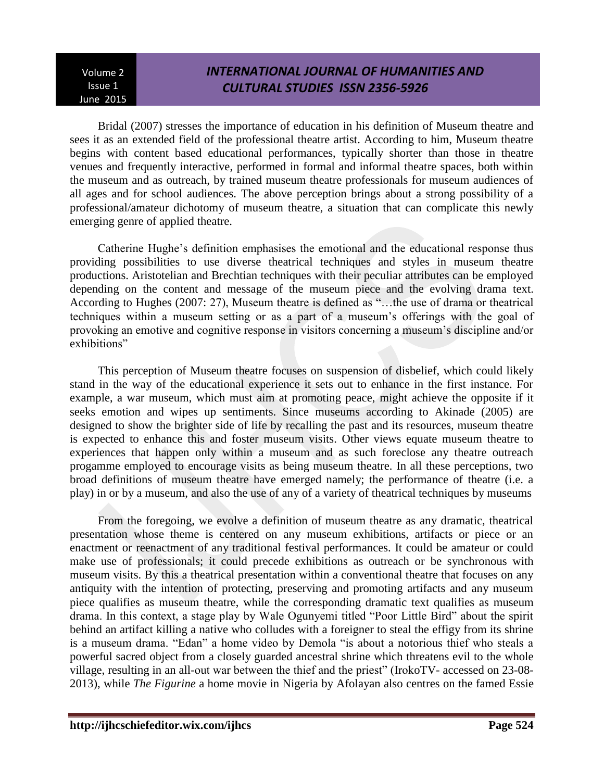# *INTERNATIONAL JOURNAL OF HUMANITIES AND CULTURAL STUDIES ISSN 2356-5926*

Bridal (2007) stresses the importance of education in his definition of Museum theatre and sees it as an extended field of the professional theatre artist. According to him, Museum theatre begins with content based educational performances, typically shorter than those in theatre venues and frequently interactive, performed in formal and informal theatre spaces, both within the museum and as outreach, by trained museum theatre professionals for museum audiences of all ages and for school audiences. The above perception brings about a strong possibility of a professional/amateur dichotomy of museum theatre, a situation that can complicate this newly emerging genre of applied theatre.

Catherine Hughe's definition emphasises the emotional and the educational response thus providing possibilities to use diverse theatrical techniques and styles in museum theatre productions. Aristotelian and Brechtian techniques with their peculiar attributes can be employed depending on the content and message of the museum piece and the evolving drama text. According to Hughes (2007: 27), Museum theatre is defined as "…the use of drama or theatrical techniques within a museum setting or as a part of a museum's offerings with the goal of provoking an emotive and cognitive response in visitors concerning a museum's discipline and/or exhibitions"

This perception of Museum theatre focuses on suspension of disbelief, which could likely stand in the way of the educational experience it sets out to enhance in the first instance. For example, a war museum, which must aim at promoting peace, might achieve the opposite if it seeks emotion and wipes up sentiments. Since museums according to Akinade (2005) are designed to show the brighter side of life by recalling the past and its resources, museum theatre is expected to enhance this and foster museum visits. Other views equate museum theatre to experiences that happen only within a museum and as such foreclose any theatre outreach progamme employed to encourage visits as being museum theatre. In all these perceptions, two broad definitions of museum theatre have emerged namely; the performance of theatre (i.e. a play) in or by a museum, and also the use of any of a variety of theatrical techniques by museums

From the foregoing, we evolve a definition of museum theatre as any dramatic, theatrical presentation whose theme is centered on any museum exhibitions, artifacts or piece or an enactment or reenactment of any traditional festival performances. It could be amateur or could make use of professionals; it could precede exhibitions as outreach or be synchronous with museum visits. By this a theatrical presentation within a conventional theatre that focuses on any antiquity with the intention of protecting, preserving and promoting artifacts and any museum piece qualifies as museum theatre, while the corresponding dramatic text qualifies as museum drama. In this context, a stage play by Wale Ogunyemi titled "Poor Little Bird" about the spirit behind an artifact killing a native who colludes with a foreigner to steal the effigy from its shrine is a museum drama. "Edan" a home video by Demola "is about a notorious thief who steals a powerful sacred object from a closely guarded ancestral shrine which threatens evil to the whole village, resulting in an all-out war between the thief and the priest" (IrokoTV- accessed on 23-08- 2013), while *The Figurine* a home movie in Nigeria by Afolayan also centres on the famed Essie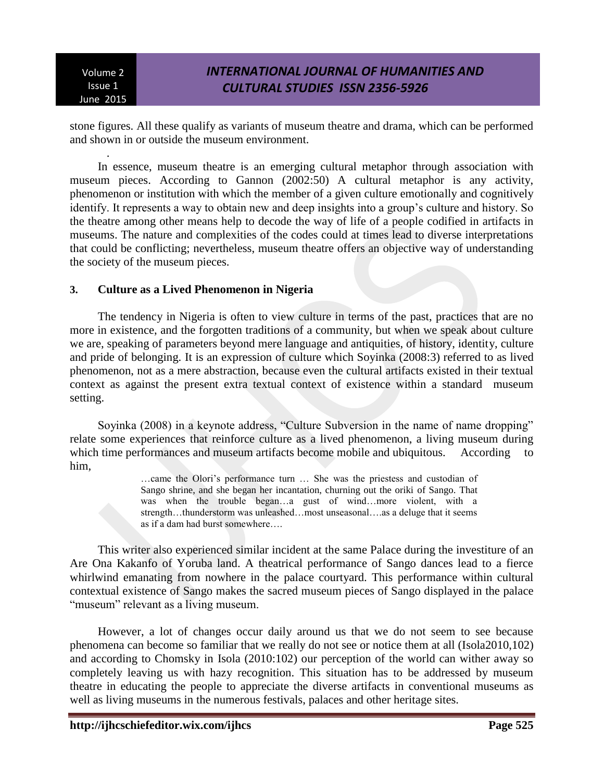.

# *INTERNATIONAL JOURNAL OF HUMANITIES AND CULTURAL STUDIES ISSN 2356-5926*

stone figures. All these qualify as variants of museum theatre and drama, which can be performed and shown in or outside the museum environment.

In essence, museum theatre is an emerging cultural metaphor through association with museum pieces. According to Gannon (2002:50) A cultural metaphor is any activity, phenomenon or institution with which the member of a given culture emotionally and cognitively identify. It represents a way to obtain new and deep insights into a group's culture and history. So the theatre among other means help to decode the way of life of a people codified in artifacts in museums. The nature and complexities of the codes could at times lead to diverse interpretations that could be conflicting; nevertheless, museum theatre offers an objective way of understanding the society of the museum pieces.

### **3. Culture as a Lived Phenomenon in Nigeria**

The tendency in Nigeria is often to view culture in terms of the past, practices that are no more in existence, and the forgotten traditions of a community, but when we speak about culture we are, speaking of parameters beyond mere language and antiquities, of history, identity, culture and pride of belonging. It is an expression of culture which Soyinka (2008:3) referred to as lived phenomenon, not as a mere abstraction, because even the cultural artifacts existed in their textual context as against the present extra textual context of existence within a standard museum setting.

Soyinka (2008) in a keynote address, "Culture Subversion in the name of name dropping" relate some experiences that reinforce culture as a lived phenomenon, a living museum during which time performances and museum artifacts become mobile and ubiquitous. According to him,

> …came the Olori's performance turn … She was the priestess and custodian of Sango shrine, and she began her incantation, churning out the oriki of Sango. That was when the trouble began…a gust of wind…more violent, with a strength…thunderstorm was unleashed…most unseasonal….as a deluge that it seems as if a dam had burst somewhere….

This writer also experienced similar incident at the same Palace during the investiture of an Are Ona Kakanfo of Yoruba land. A theatrical performance of Sango dances lead to a fierce whirlwind emanating from nowhere in the palace courtyard. This performance within cultural contextual existence of Sango makes the sacred museum pieces of Sango displayed in the palace "museum" relevant as a living museum.

However, a lot of changes occur daily around us that we do not seem to see because phenomena can become so familiar that we really do not see or notice them at all (Isola2010,102) and according to Chomsky in Isola (2010:102) our perception of the world can wither away so completely leaving us with hazy recognition. This situation has to be addressed by museum theatre in educating the people to appreciate the diverse artifacts in conventional museums as well as living museums in the numerous festivals, palaces and other heritage sites.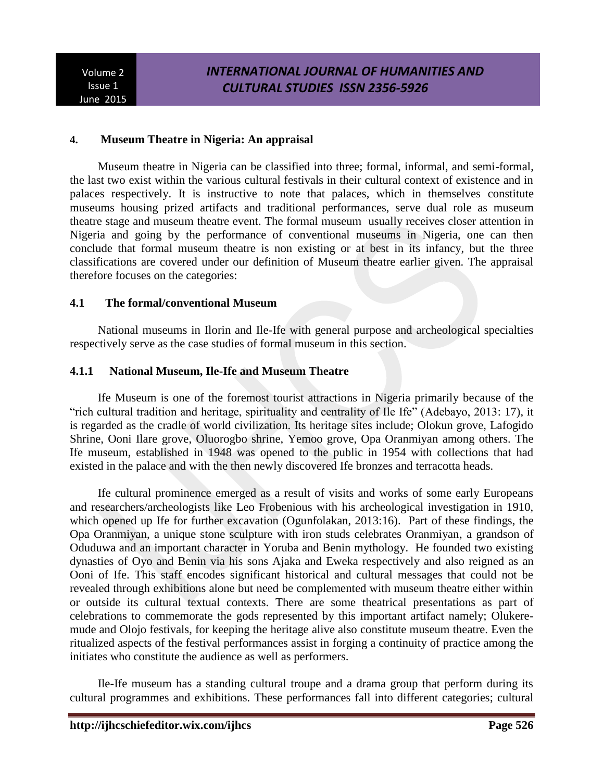### **4. Museum Theatre in Nigeria: An appraisal**

Museum theatre in Nigeria can be classified into three; formal, informal, and semi-formal, the last two exist within the various cultural festivals in their cultural context of existence and in palaces respectively. It is instructive to note that palaces, which in themselves constitute museums housing prized artifacts and traditional performances, serve dual role as museum theatre stage and museum theatre event. The formal museum usually receives closer attention in Nigeria and going by the performance of conventional museums in Nigeria, one can then conclude that formal museum theatre is non existing or at best in its infancy, but the three classifications are covered under our definition of Museum theatre earlier given. The appraisal therefore focuses on the categories:

### **4.1 The formal/conventional Museum**

National museums in Ilorin and Ile-Ife with general purpose and archeological specialties respectively serve as the case studies of formal museum in this section.

### **4.1.1 National Museum, Ile-Ife and Museum Theatre**

Ife Museum is one of the foremost tourist attractions in Nigeria primarily because of the "rich cultural tradition and heritage, spirituality and centrality of Ile Ife" (Adebayo, 2013: 17), it is regarded as the cradle of world civilization. Its heritage sites include; Olokun grove, Lafogido Shrine, Ooni Ilare grove, Oluorogbo shrine, Yemoo grove, Opa Oranmiyan among others. The Ife museum, established in 1948 was opened to the public in 1954 with collections that had existed in the palace and with the then newly discovered Ife bronzes and terracotta heads.

Ife cultural prominence emerged as a result of visits and works of some early Europeans and researchers/archeologists like Leo Frobenious with his archeological investigation in 1910, which opened up Ife for further excavation (Ogunfolakan, 2013:16). Part of these findings, the Opa Oranmiyan, a unique stone sculpture with iron studs celebrates Oranmiyan, a grandson of Oduduwa and an important character in Yoruba and Benin mythology. He founded two existing dynasties of Oyo and Benin via his sons Ajaka and Eweka respectively and also reigned as an Ooni of Ife. This staff encodes significant historical and cultural messages that could not be revealed through exhibitions alone but need be complemented with museum theatre either within or outside its cultural textual contexts. There are some theatrical presentations as part of celebrations to commemorate the gods represented by this important artifact namely; Olukeremude and Olojo festivals, for keeping the heritage alive also constitute museum theatre. Even the ritualized aspects of the festival performances assist in forging a continuity of practice among the initiates who constitute the audience as well as performers.

Ile-Ife museum has a standing cultural troupe and a drama group that perform during its cultural programmes and exhibitions. These performances fall into different categories; cultural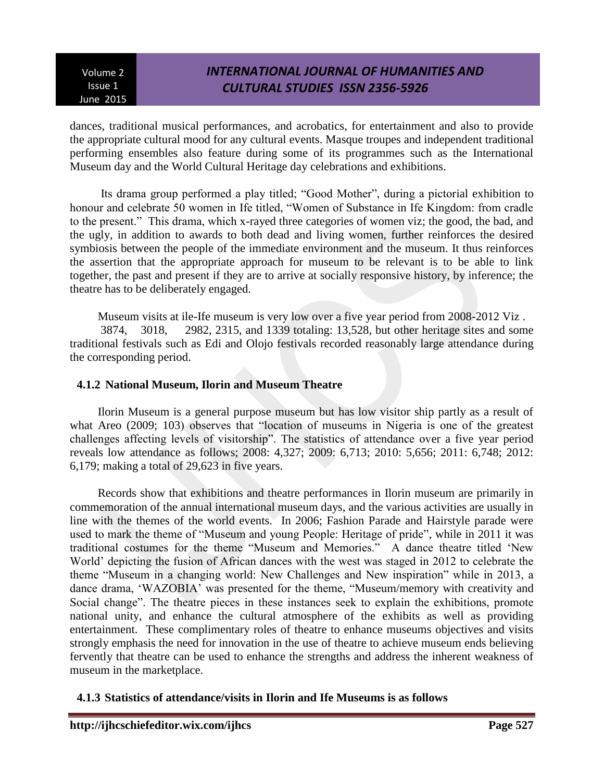# *INTERNATIONAL JOURNAL OF HUMANITIES AND CULTURAL STUDIES ISSN 2356-5926*

dances, traditional musical performances, and acrobatics, for entertainment and also to provide the appropriate cultural mood for any cultural events. Masque troupes and independent traditional performing ensembles also feature during some of its programmes such as the International Museum day and the World Cultural Heritage day celebrations and exhibitions.

Its drama group performed a play titled; "Good Mother", during a pictorial exhibition to honour and celebrate 50 women in Ife titled, "Women of Substance in Ife Kingdom: from cradle to the present." This drama, which x-rayed three categories of women viz; the good, the bad, and the ugly, in addition to awards to both dead and living women, further reinforces the desired symbiosis between the people of the immediate environment and the museum. It thus reinforces the assertion that the appropriate approach for museum to be relevant is to be able to link together, the past and present if they are to arrive at socially responsive history, by inference; the theatre has to be deliberately engaged.

Museum visits at ile-Ife museum is very low over a five year period from 2008-2012 Viz . 3874, 3018, 2982, 2315, and 1339 totaling: 13,528, but other heritage sites and some traditional festivals such as Edi and Olojo festivals recorded reasonably large attendance during the corresponding period.

## **4.1.2 National Museum, Ilorin and Museum Theatre**

Ilorin Museum is a general purpose museum but has low visitor ship partly as a result of what Areo (2009; 103) observes that "location of museums in Nigeria is one of the greatest challenges affecting levels of visitorship". The statistics of attendance over a five year period reveals low attendance as follows; 2008: 4,327; 2009: 6,713; 2010: 5,656; 2011: 6,748; 2012: 6,179; making a total of 29,623 in five years.

Records show that exhibitions and theatre performances in Ilorin museum are primarily in commemoration of the annual international museum days, and the various activities are usually in line with the themes of the world events. In 2006; Fashion Parade and Hairstyle parade were used to mark the theme of "Museum and young People: Heritage of pride", while in 2011 it was traditional costumes for the theme "Museum and Memories." A dance theatre titled 'New World' depicting the fusion of African dances with the west was staged in 2012 to celebrate the theme "Museum in a changing world: New Challenges and New inspiration" while in 2013, a dance drama, 'WAZOBIA' was presented for the theme, "Museum/memory with creativity and Social change". The theatre pieces in these instances seek to explain the exhibitions, promote national unity, and enhance the cultural atmosphere of the exhibits as well as providing entertainment. These complimentary roles of theatre to enhance museums objectives and visits strongly emphasis the need for innovation in the use of theatre to achieve museum ends believing fervently that theatre can be used to enhance the strengths and address the inherent weakness of museum in the marketplace.

## **4.1.3 Statistics of attendance/visits in Ilorin and Ife Museums is as follows**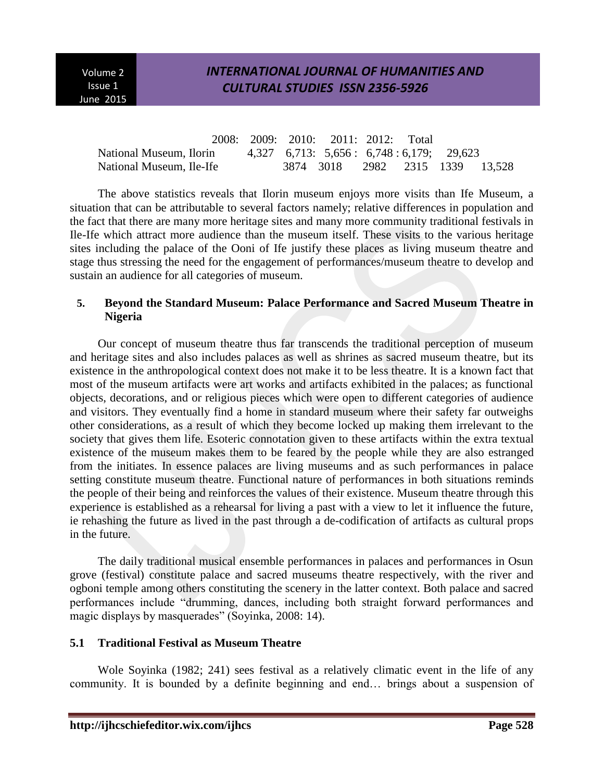## *INTERNATIONAL JOURNAL OF HUMANITIES AND CULTURAL STUDIES ISSN 2356-5926*

|                          |  | 2008: 2009: 2010: 2011: 2012: Total       |  |  |
|--------------------------|--|-------------------------------------------|--|--|
| National Museum, Ilorin  |  | $4,327$ 6,713: 5,656: 6,748:6,179; 29,623 |  |  |
| National Museum, Ile-Ife |  | 3874 3018 2982 2315 1339 13.528           |  |  |

The above statistics reveals that Ilorin museum enjoys more visits than Ife Museum, a situation that can be attributable to several factors namely; relative differences in population and the fact that there are many more heritage sites and many more community traditional festivals in Ile-Ife which attract more audience than the museum itself. These visits to the various heritage sites including the palace of the Ooni of Ife justify these places as living museum theatre and stage thus stressing the need for the engagement of performances/museum theatre to develop and sustain an audience for all categories of museum.

### **5. Beyond the Standard Museum: Palace Performance and Sacred Museum Theatre in Nigeria**

Our concept of museum theatre thus far transcends the traditional perception of museum and heritage sites and also includes palaces as well as shrines as sacred museum theatre, but its existence in the anthropological context does not make it to be less theatre. It is a known fact that most of the museum artifacts were art works and artifacts exhibited in the palaces; as functional objects, decorations, and or religious pieces which were open to different categories of audience and visitors. They eventually find a home in standard museum where their safety far outweighs other considerations, as a result of which they become locked up making them irrelevant to the society that gives them life. Esoteric connotation given to these artifacts within the extra textual existence of the museum makes them to be feared by the people while they are also estranged from the initiates. In essence palaces are living museums and as such performances in palace setting constitute museum theatre. Functional nature of performances in both situations reminds the people of their being and reinforces the values of their existence. Museum theatre through this experience is established as a rehearsal for living a past with a view to let it influence the future, ie rehashing the future as lived in the past through a de-codification of artifacts as cultural props in the future.

The daily traditional musical ensemble performances in palaces and performances in Osun grove (festival) constitute palace and sacred museums theatre respectively, with the river and ogboni temple among others constituting the scenery in the latter context. Both palace and sacred performances include "drumming, dances, including both straight forward performances and magic displays by masquerades" (Soyinka, 2008: 14).

## **5.1 Traditional Festival as Museum Theatre**

Wole Soyinka (1982; 241) sees festival as a relatively climatic event in the life of any community. It is bounded by a definite beginning and end… brings about a suspension of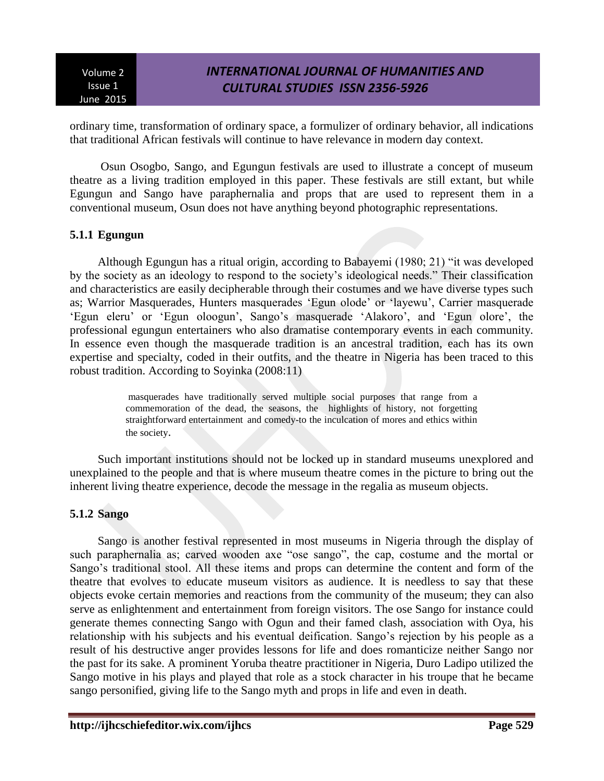# *INTERNATIONAL JOURNAL OF HUMANITIES AND CULTURAL STUDIES ISSN 2356-5926*

ordinary time, transformation of ordinary space, a formulizer of ordinary behavior, all indications that traditional African festivals will continue to have relevance in modern day context.

Osun Osogbo, Sango, and Egungun festivals are used to illustrate a concept of museum theatre as a living tradition employed in this paper. These festivals are still extant, but while Egungun and Sango have paraphernalia and props that are used to represent them in a conventional museum, Osun does not have anything beyond photographic representations.

### **5.1.1 Egungun**

Although Egungun has a ritual origin, according to Babayemi (1980; 21) "it was developed by the society as an ideology to respond to the society's ideological needs." Their classification and characteristics are easily decipherable through their costumes and we have diverse types such as; Warrior Masquerades, Hunters masquerades 'Egun olode' or 'layewu', Carrier masquerade 'Egun eleru' or 'Egun oloogun', Sango's masquerade 'Alakoro', and 'Egun olore', the professional egungun entertainers who also dramatise contemporary events in each community. In essence even though the masquerade tradition is an ancestral tradition, each has its own expertise and specialty, coded in their outfits, and the theatre in Nigeria has been traced to this robust tradition. According to Soyinka (2008:11)

> masquerades have traditionally served multiple social purposes that range from a commemoration of the dead, the seasons, the highlights of history, not forgetting straightforward entertainment and comedy-to the inculcation of mores and ethics within the society.

Such important institutions should not be locked up in standard museums unexplored and unexplained to the people and that is where museum theatre comes in the picture to bring out the inherent living theatre experience, decode the message in the regalia as museum objects.

## **5.1.2 Sango**

Sango is another festival represented in most museums in Nigeria through the display of such paraphernalia as; carved wooden axe "ose sango", the cap, costume and the mortal or Sango's traditional stool. All these items and props can determine the content and form of the theatre that evolves to educate museum visitors as audience. It is needless to say that these objects evoke certain memories and reactions from the community of the museum; they can also serve as enlightenment and entertainment from foreign visitors. The ose Sango for instance could generate themes connecting Sango with Ogun and their famed clash, association with Oya, his relationship with his subjects and his eventual deification. Sango's rejection by his people as a result of his destructive anger provides lessons for life and does romanticize neither Sango nor the past for its sake. A prominent Yoruba theatre practitioner in Nigeria, Duro Ladipo utilized the Sango motive in his plays and played that role as a stock character in his troupe that he became sango personified, giving life to the Sango myth and props in life and even in death.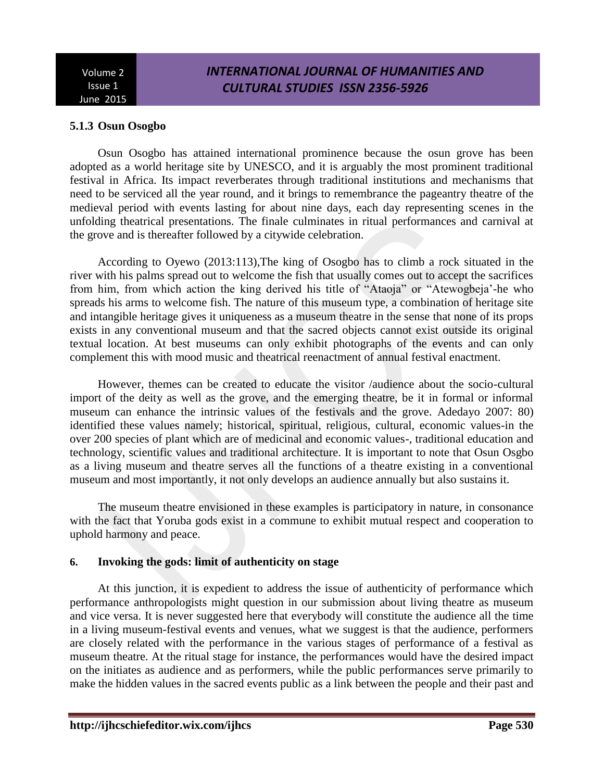# *INTERNATIONAL JOURNAL OF HUMANITIES AND CULTURAL STUDIES ISSN 2356-5926*

## **5.1.3 Osun Osogbo**

Osun Osogbo has attained international prominence because the osun grove has been adopted as a world heritage site by UNESCO, and it is arguably the most prominent traditional festival in Africa. Its impact reverberates through traditional institutions and mechanisms that need to be serviced all the year round, and it brings to remembrance the pageantry theatre of the medieval period with events lasting for about nine days, each day representing scenes in the unfolding theatrical presentations. The finale culminates in ritual performances and carnival at the grove and is thereafter followed by a citywide celebration.

According to Oyewo (2013:113),The king of Osogbo has to climb a rock situated in the river with his palms spread out to welcome the fish that usually comes out to accept the sacrifices from him, from which action the king derived his title of "Ataoja" or "Atewogbeja'-he who spreads his arms to welcome fish. The nature of this museum type, a combination of heritage site and intangible heritage gives it uniqueness as a museum theatre in the sense that none of its props exists in any conventional museum and that the sacred objects cannot exist outside its original textual location. At best museums can only exhibit photographs of the events and can only complement this with mood music and theatrical reenactment of annual festival enactment.

However, themes can be created to educate the visitor /audience about the socio-cultural import of the deity as well as the grove, and the emerging theatre, be it in formal or informal museum can enhance the intrinsic values of the festivals and the grove. Adedayo 2007: 80) identified these values namely; historical, spiritual, religious, cultural, economic values-in the over 200 species of plant which are of medicinal and economic values-, traditional education and technology, scientific values and traditional architecture. It is important to note that Osun Osgbo as a living museum and theatre serves all the functions of a theatre existing in a conventional museum and most importantly, it not only develops an audience annually but also sustains it.

The museum theatre envisioned in these examples is participatory in nature, in consonance with the fact that Yoruba gods exist in a commune to exhibit mutual respect and cooperation to uphold harmony and peace.

## **6. Invoking the gods: limit of authenticity on stage**

At this junction, it is expedient to address the issue of authenticity of performance which performance anthropologists might question in our submission about living theatre as museum and vice versa. It is never suggested here that everybody will constitute the audience all the time in a living museum-festival events and venues, what we suggest is that the audience, performers are closely related with the performance in the various stages of performance of a festival as museum theatre. At the ritual stage for instance, the performances would have the desired impact on the initiates as audience and as performers, while the public performances serve primarily to make the hidden values in the sacred events public as a link between the people and their past and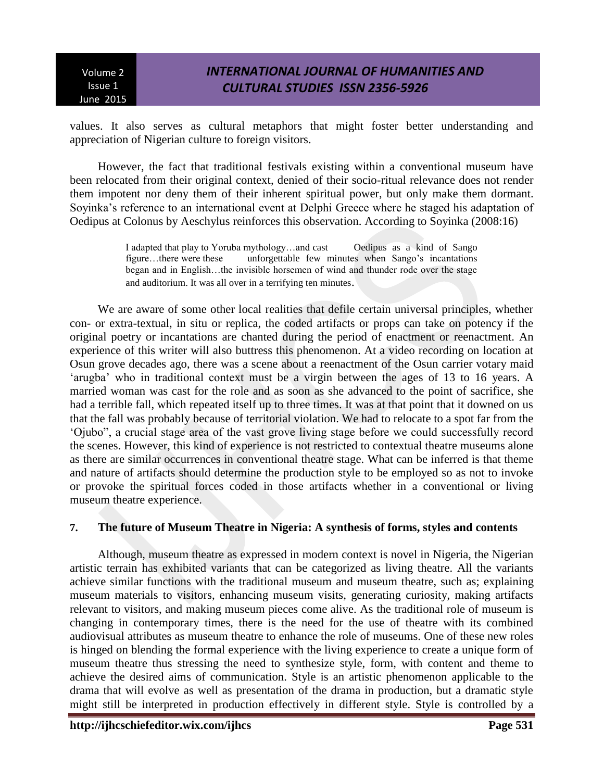# *INTERNATIONAL JOURNAL OF HUMANITIES AND CULTURAL STUDIES ISSN 2356-5926*

values. It also serves as cultural metaphors that might foster better understanding and appreciation of Nigerian culture to foreign visitors.

However, the fact that traditional festivals existing within a conventional museum have been relocated from their original context, denied of their socio-ritual relevance does not render them impotent nor deny them of their inherent spiritual power, but only make them dormant. Soyinka's reference to an international event at Delphi Greece where he staged his adaptation of Oedipus at Colonus by Aeschylus reinforces this observation. According to Soyinka (2008:16)

> I adapted that play to Yoruba mythology…and cast Oedipus as a kind of Sango figure…there were these unforgettable few minutes when Sango's incantations began and in English…the invisible horsemen of wind and thunder rode over the stage and auditorium. It was all over in a terrifying ten minutes.

We are aware of some other local realities that defile certain universal principles, whether con- or extra-textual, in situ or replica, the coded artifacts or props can take on potency if the original poetry or incantations are chanted during the period of enactment or reenactment. An experience of this writer will also buttress this phenomenon. At a video recording on location at Osun grove decades ago, there was a scene about a reenactment of the Osun carrier votary maid 'arugba' who in traditional context must be a virgin between the ages of 13 to 16 years. A married woman was cast for the role and as soon as she advanced to the point of sacrifice, she had a terrible fall, which repeated itself up to three times. It was at that point that it downed on us that the fall was probably because of territorial violation. We had to relocate to a spot far from the 'Ojubo", a crucial stage area of the vast grove living stage before we could successfully record the scenes. However, this kind of experience is not restricted to contextual theatre museums alone as there are similar occurrences in conventional theatre stage. What can be inferred is that theme and nature of artifacts should determine the production style to be employed so as not to invoke or provoke the spiritual forces coded in those artifacts whether in a conventional or living museum theatre experience.

#### **7. The future of Museum Theatre in Nigeria: A synthesis of forms, styles and contents**

Although, museum theatre as expressed in modern context is novel in Nigeria, the Nigerian artistic terrain has exhibited variants that can be categorized as living theatre. All the variants achieve similar functions with the traditional museum and museum theatre, such as; explaining museum materials to visitors, enhancing museum visits, generating curiosity, making artifacts relevant to visitors, and making museum pieces come alive. As the traditional role of museum is changing in contemporary times, there is the need for the use of theatre with its combined audiovisual attributes as museum theatre to enhance the role of museums. One of these new roles is hinged on blending the formal experience with the living experience to create a unique form of museum theatre thus stressing the need to synthesize style, form, with content and theme to achieve the desired aims of communication. Style is an artistic phenomenon applicable to the drama that will evolve as well as presentation of the drama in production, but a dramatic style might still be interpreted in production effectively in different style. Style is controlled by a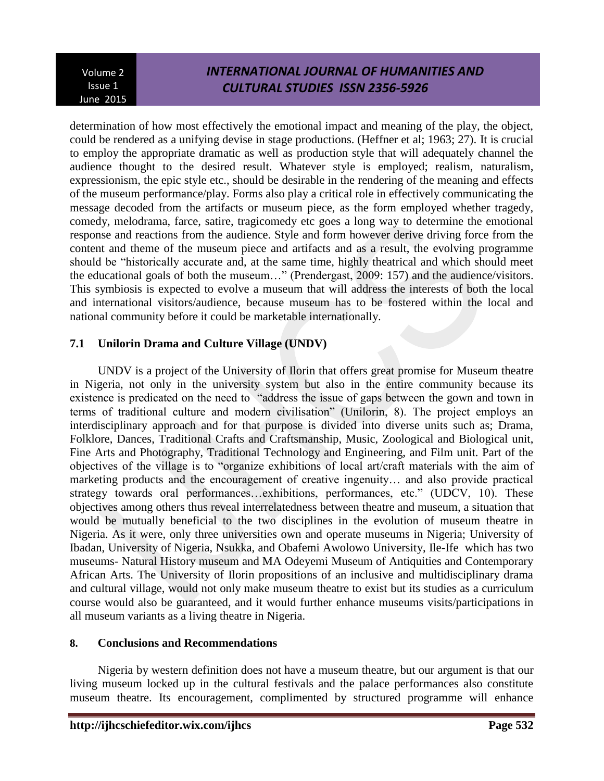# *INTERNATIONAL JOURNAL OF HUMANITIES AND CULTURAL STUDIES ISSN 2356-5926*

determination of how most effectively the emotional impact and meaning of the play, the object, could be rendered as a unifying devise in stage productions. (Heffner et al; 1963; 27). It is crucial to employ the appropriate dramatic as well as production style that will adequately channel the audience thought to the desired result. Whatever style is employed; realism, naturalism, expressionism, the epic style etc., should be desirable in the rendering of the meaning and effects of the museum performance/play. Forms also play a critical role in effectively communicating the message decoded from the artifacts or museum piece, as the form employed whether tragedy, comedy, melodrama, farce, satire, tragicomedy etc goes a long way to determine the emotional response and reactions from the audience. Style and form however derive driving force from the content and theme of the museum piece and artifacts and as a result, the evolving programme should be "historically accurate and, at the same time, highly theatrical and which should meet the educational goals of both the museum…" (Prendergast, 2009: 157) and the audience/visitors. This symbiosis is expected to evolve a museum that will address the interests of both the local and international visitors/audience, because museum has to be fostered within the local and national community before it could be marketable internationally.

## **7.1 Unilorin Drama and Culture Village (UNDV)**

UNDV is a project of the University of Ilorin that offers great promise for Museum theatre in Nigeria, not only in the university system but also in the entire community because its existence is predicated on the need to "address the issue of gaps between the gown and town in terms of traditional culture and modern civilisation" (Unilorin, 8). The project employs an interdisciplinary approach and for that purpose is divided into diverse units such as; Drama, Folklore, Dances, Traditional Crafts and Craftsmanship, Music, Zoological and Biological unit, Fine Arts and Photography, Traditional Technology and Engineering, and Film unit. Part of the objectives of the village is to "organize exhibitions of local art/craft materials with the aim of marketing products and the encouragement of creative ingenuity… and also provide practical strategy towards oral performances…exhibitions, performances, etc." (UDCV, 10). These objectives among others thus reveal interrelatedness between theatre and museum, a situation that would be mutually beneficial to the two disciplines in the evolution of museum theatre in Nigeria. As it were, only three universities own and operate museums in Nigeria; University of Ibadan, University of Nigeria, Nsukka, and Obafemi Awolowo University, Ile-Ife which has two museums- Natural History museum and MA Odeyemi Museum of Antiquities and Contemporary African Arts. The University of Ilorin propositions of an inclusive and multidisciplinary drama and cultural village, would not only make museum theatre to exist but its studies as a curriculum course would also be guaranteed, and it would further enhance museums visits/participations in all museum variants as a living theatre in Nigeria.

## **8. Conclusions and Recommendations**

Nigeria by western definition does not have a museum theatre, but our argument is that our living museum locked up in the cultural festivals and the palace performances also constitute museum theatre. Its encouragement, complimented by structured programme will enhance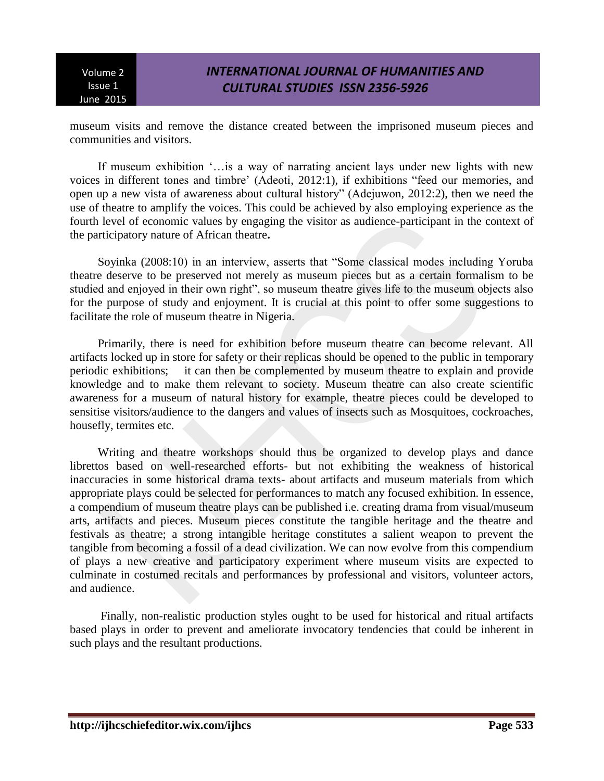# *INTERNATIONAL JOURNAL OF HUMANITIES AND CULTURAL STUDIES ISSN 2356-5926*

museum visits and remove the distance created between the imprisoned museum pieces and communities and visitors.

If museum exhibition '…is a way of narrating ancient lays under new lights with new voices in different tones and timbre' (Adeoti, 2012:1), if exhibitions "feed our memories, and open up a new vista of awareness about cultural history" (Adejuwon, 2012:2), then we need the use of theatre to amplify the voices. This could be achieved by also employing experience as the fourth level of economic values by engaging the visitor as audience-participant in the context of the participatory nature of African theatre**.**

Soyinka (2008:10) in an interview, asserts that "Some classical modes including Yoruba theatre deserve to be preserved not merely as museum pieces but as a certain formalism to be studied and enjoyed in their own right", so museum theatre gives life to the museum objects also for the purpose of study and enjoyment. It is crucial at this point to offer some suggestions to facilitate the role of museum theatre in Nigeria.

Primarily, there is need for exhibition before museum theatre can become relevant. All artifacts locked up in store for safety or their replicas should be opened to the public in temporary periodic exhibitions; it can then be complemented by museum theatre to explain and provide knowledge and to make them relevant to society. Museum theatre can also create scientific awareness for a museum of natural history for example, theatre pieces could be developed to sensitise visitors/audience to the dangers and values of insects such as Mosquitoes, cockroaches, housefly, termites etc.

Writing and theatre workshops should thus be organized to develop plays and dance librettos based on well-researched efforts- but not exhibiting the weakness of historical inaccuracies in some historical drama texts- about artifacts and museum materials from which appropriate plays could be selected for performances to match any focused exhibition. In essence, a compendium of museum theatre plays can be published i.e. creating drama from visual/museum arts, artifacts and pieces. Museum pieces constitute the tangible heritage and the theatre and festivals as theatre; a strong intangible heritage constitutes a salient weapon to prevent the tangible from becoming a fossil of a dead civilization. We can now evolve from this compendium of plays a new creative and participatory experiment where museum visits are expected to culminate in costumed recitals and performances by professional and visitors, volunteer actors, and audience.

Finally, non-realistic production styles ought to be used for historical and ritual artifacts based plays in order to prevent and ameliorate invocatory tendencies that could be inherent in such plays and the resultant productions.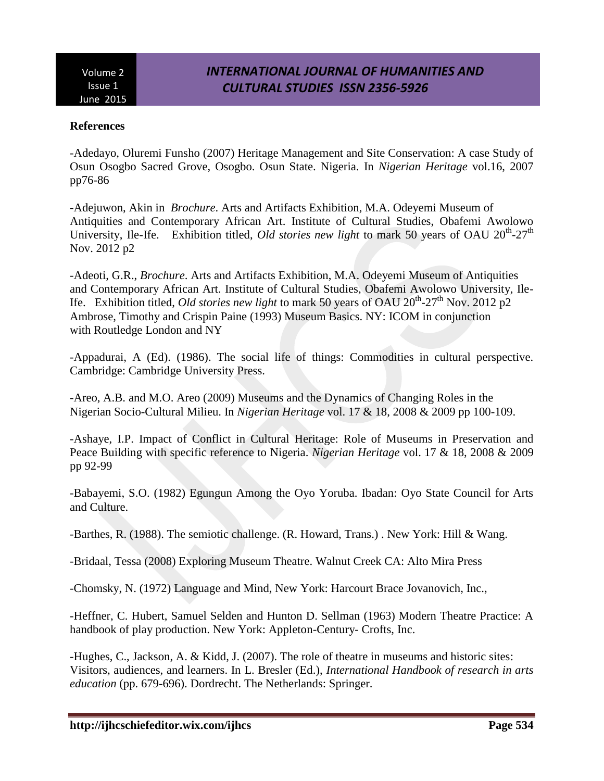### **References**

-Adedayo, Oluremi Funsho (2007) Heritage Management and Site Conservation: A case Study of Osun Osogbo Sacred Grove, Osogbo. Osun State. Nigeria. In *Nigerian Heritage* vol.16, 2007 pp76-86

-Adejuwon, Akin in *Brochure*. Arts and Artifacts Exhibition, M.A. Odeyemi Museum of Antiquities and Contemporary African Art. Institute of Cultural Studies, Obafemi Awolowo University, Ile-Ife. Exhibition titled, *Old stories new light* to mark 50 years of OAU 20<sup>th</sup>-27<sup>th</sup> Nov. 2012 p2

-Adeoti, G.R., *Brochure*. Arts and Artifacts Exhibition, M.A. Odeyemi Museum of Antiquities and Contemporary African Art. Institute of Cultural Studies, Obafemi Awolowo University, Ile-Ife. Exhibition titled, *Old stories new light* to mark 50 years of OAU 20<sup>th</sup>-27<sup>th</sup> Nov. 2012 p2 Ambrose, Timothy and Crispin Paine (1993) Museum Basics. NY: ICOM in conjunction with Routledge London and NY

-Appadurai, A (Ed). (1986). The social life of things: Commodities in cultural perspective. Cambridge: Cambridge University Press.

-Areo, A.B. and M.O. Areo (2009) Museums and the Dynamics of Changing Roles in the Nigerian Socio-Cultural Milieu. In *Nigerian Heritage* vol. 17 & 18, 2008 & 2009 pp 100-109.

-Ashaye, I.P. Impact of Conflict in Cultural Heritage: Role of Museums in Preservation and Peace Building with specific reference to Nigeria. *Nigerian Heritage* vol. 17 & 18, 2008 & 2009 pp 92-99

-Babayemi, S.O. (1982) Egungun Among the Oyo Yoruba. Ibadan: Oyo State Council for Arts and Culture.

-Barthes, R. (1988). The semiotic challenge. (R. Howard, Trans.) . New York: Hill & Wang.

-Bridaal, Tessa (2008) Exploring Museum Theatre. Walnut Creek CA: Alto Mira Press

-Chomsky, N. (1972) Language and Mind, New York: Harcourt Brace Jovanovich, Inc.,

-Heffner, C. Hubert, Samuel Selden and Hunton D. Sellman (1963) Modern Theatre Practice: A handbook of play production. New York: Appleton-Century- Crofts, Inc.

-Hughes, C., Jackson, A. & Kidd, J. (2007). The role of theatre in museums and historic sites: Visitors, audiences, and learners. In L. Bresler (Ed.), *International Handbook of research in arts education* (pp. 679-696). Dordrecht. The Netherlands: Springer.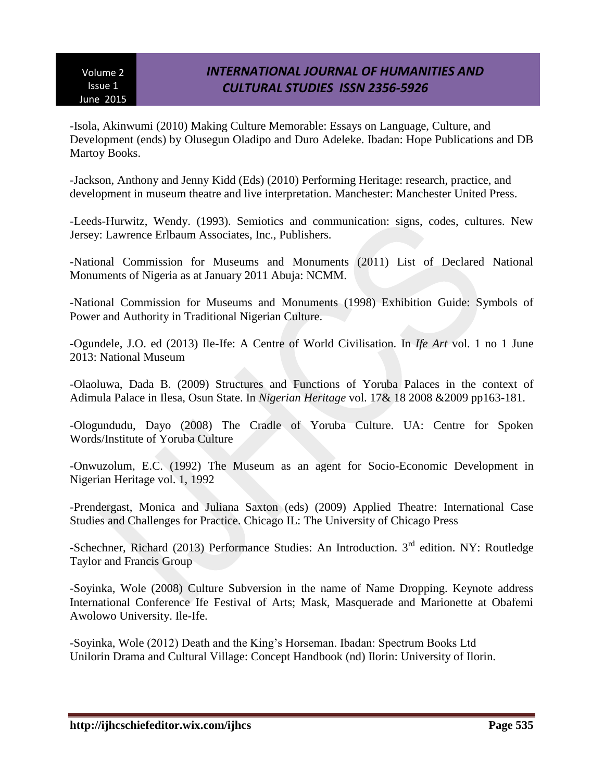# *INTERNATIONAL JOURNAL OF HUMANITIES AND CULTURAL STUDIES ISSN 2356-5926*

-Isola, Akinwumi (2010) Making Culture Memorable: Essays on Language, Culture, and Development (ends) by Olusegun Oladipo and Duro Adeleke. Ibadan: Hope Publications and DB Martoy Books.

-Jackson, Anthony and Jenny Kidd (Eds) (2010) Performing Heritage: research, practice, and development in museum theatre and live interpretation. Manchester: Manchester United Press.

-Leeds-Hurwitz, Wendy. (1993). Semiotics and communication: signs, codes, cultures. New Jersey: Lawrence Erlbaum Associates, Inc., Publishers.

-National Commission for Museums and Monuments (2011) List of Declared National Monuments of Nigeria as at January 2011 Abuja: NCMM.

-National Commission for Museums and Monuments (1998) Exhibition Guide: Symbols of Power and Authority in Traditional Nigerian Culture.

-Ogundele, J.O. ed (2013) Ile-Ife: A Centre of World Civilisation. In *Ife Art* vol. 1 no 1 June 2013: National Museum

-Olaoluwa, Dada B. (2009) Structures and Functions of Yoruba Palaces in the context of Adimula Palace in Ilesa, Osun State. In *Nigerian Heritage* vol. 17& 18 2008 &2009 pp163-181.

-Ologundudu, Dayo (2008) The Cradle of Yoruba Culture. UA: Centre for Spoken Words/Institute of Yoruba Culture

-Onwuzolum, E.C. (1992) The Museum as an agent for Socio-Economic Development in Nigerian Heritage vol. 1, 1992

-Prendergast, Monica and Juliana Saxton (eds) (2009) Applied Theatre: International Case Studies and Challenges for Practice. Chicago IL: The University of Chicago Press

-Schechner, Richard (2013) Performance Studies: An Introduction. 3<sup>rd</sup> edition. NY: Routledge Taylor and Francis Group

-Soyinka, Wole (2008) Culture Subversion in the name of Name Dropping. Keynote address International Conference Ife Festival of Arts; Mask, Masquerade and Marionette at Obafemi Awolowo University. Ile-Ife.

-Soyinka, Wole (2012) Death and the King's Horseman. Ibadan: Spectrum Books Ltd Unilorin Drama and Cultural Village: Concept Handbook (nd) Ilorin: University of Ilorin.